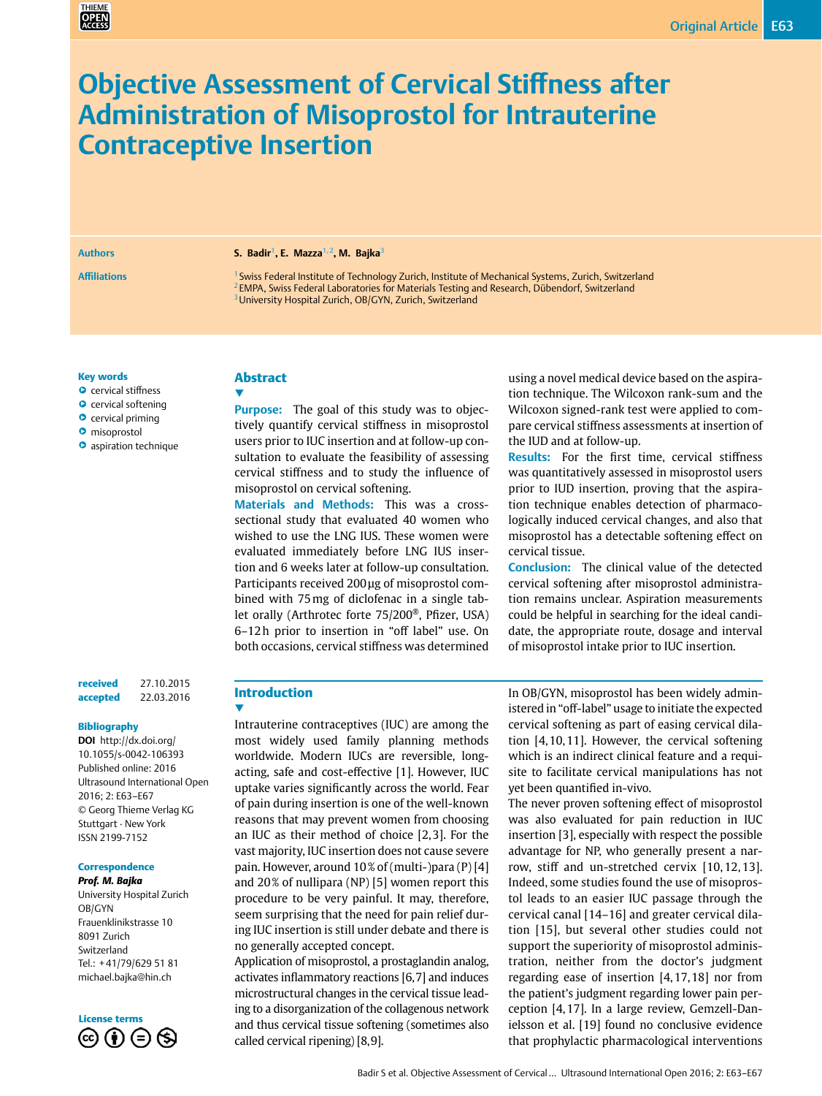# **Objective Assessment of Cervical Stiffness after Administration of Misoprostol for Intrauterine Contraceptive Insertion**

#### **Authors S. Badir1, E. Mazza1,2, M. Bajka3**

**Affiliations** <sup>1</sup> Swiss Federal Institute of Technology Zurich, Institute of Mechanical Systems, Zurich, Switzerland <sup>2</sup> EMPA, Swiss Federal Laboratories for Materials Testing and Research, Dübendorf, Switzerland <sup>3</sup> University Hospital Zurich, OB/GYN, Zurich, Switzerland

#### Key words

- **O** cervical stiffness
- **O** cervical softening
- **O** cervical priming
- **O** misoprostol
- **O** aspiration technique

#### received 27.10.2015 accepted 22.03.2016

#### Bibliography

**DOI** [http://dx.doi.org/](http://dx.doi.org/  10.1055/s-0042-106393  ) [10.1055/s-0042-106393](http://dx.doi.org/  10.1055/s-0042-106393  ) Published online: 2016 Ultrasound International Open 2016; 2: E63–E67 © Georg Thieme Verlag KG Stuttgart · New York ISSN 2199-7152

#### **Correspondence**

*Prof. M. Bajka* University Hospital Zurich OB/GYN Frauenklinikstrasse 10 8091 Zurich Switzerland Tel.: +41/79/629 51 81 [michael.bajka@hin.ch](mailto:michael.bajka@hin.ch)

## License terms $\circledcirc$   $\circledcirc$   $\circledcirc$

## Abstract

▼ **Purpose:** The goal of this study was to objectively quantify cervical stiffness in misoprostol users prior to IUC insertion and at follow-up consultation to evaluate the feasibility of assessing cervical stiffness and to study the influence of misoprostol on cervical softening.

**Materials and Methods:** This was a crosssectional study that evaluated 40 women who wished to use the LNG IUS. These women were evaluated immediately before LNG IUS insertion and 6 weeks later at follow-up consultation. Participants received 200μg of misoprostol combined with 75mg of diclofenac in a single tablet orally (Arthrotec forte 75/200®, Pfizer, USA) 6–12h prior to insertion in "off label" use. On both occasions, cervical stiffness was determined using a novel medical device based on the aspiration technique. The Wilcoxon rank-sum and the Wilcoxon signed-rank test were applied to compare cervical stiffness assessments at insertion of the IUD and at follow-up.

**Results:** For the first time, cervical stiffness was quantitatively assessed in misoprostol users prior to IUD insertion, proving that the aspiration technique enables detection of pharmacologically induced cervical changes, and also that misoprostol has a detectable softening effect on cervical tissue.

**Conclusion:** The clinical value of the detected cervical softening after misoprostol administration remains unclear. Aspiration measurements could be helpful in searching for the ideal candidate, the appropriate route, dosage and interval of misoprostol intake prior to IUC insertion.

## Introduction

▼ Intrauterine contraceptives (IUC) are among the most widely used family planning methods worldwide. Modern IUCs are reversible, longacting, safe and cost-effective [1]. However, IUC uptake varies significantly across the world. Fear of pain during insertion is one of the well-known reasons that may prevent women from choosing an IUC as their method of choice [2,3]. For the vast majority, IUC insertion does not cause severe pain. However, around 10% of (multi-)para (P) [4] and 20% of nullipara (NP) [5] women report this procedure to be very painful. It may, therefore, seem surprising that the need for pain relief during IUC insertion is still under debate and there is no generally accepted concept.

Application of misoprostol, a prostaglandin analog, activates inflammatory reactions [6,7] and induces microstructural changes in the cervical tissue leading to a disorganization of the collagenous network and thus cervical tissue softening (sometimes also called cervical ripening) [8,9].

In OB/GYN, misoprostol has been widely administered in "off-label" usage to initiate the expected cervical softening as part of easing cervical dilation [4,10,11]. However, the cervical softening which is an indirect clinical feature and a requisite to facilitate cervical manipulations has not yet been quantified in-vivo.

The never proven softening effect of misoprostol was also evaluated for pain reduction in IUC insertion [3], especially with respect the possible advantage for NP, who generally present a narrow, stiff and un-stretched cervix [10, 12, 13]. Indeed, some studies found the use of misoprostol leads to an easier IUC passage through the cervical canal [14–16] and greater cervical dilation [15], but several other studies could not support the superiority of misoprostol administration, neither from the doctor's judgment regarding ease of insertion [4,17,18] nor from the patient's judgment regarding lower pain perception [4,17]. In a large review, Gemzell-Danielsson et al. [19] found no conclusive evidence that prophylactic pharmacological interventions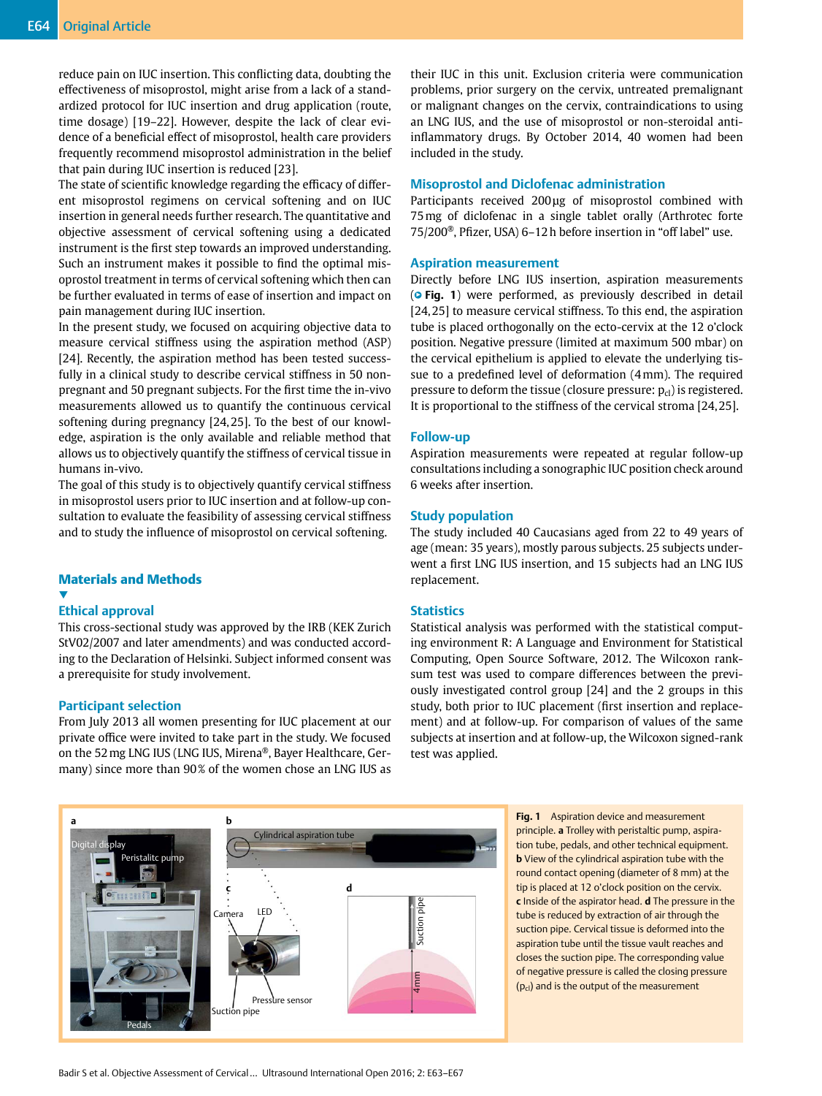reduce pain on IUC insertion. This conflicting data, doubting the effectiveness of misoprostol, might arise from a lack of a standardized protocol for IUC insertion and drug application (route, time dosage) [19–22]. However, despite the lack of clear evidence of a beneficial effect of misoprostol, health care providers frequently recommend misoprostol administration in the belief that pain during IUC insertion is reduced [23].

The state of scientific knowledge regarding the efficacy of different misoprostol regimens on cervical softening and on IUC insertion in general needs further research. The quantitative and objective assessment of cervical softening using a dedicated instrument is the first step towards an improved understanding. Such an instrument makes it possible to find the optimal misoprostol treatment in terms of cervical softening which then can be further evaluated in terms of ease of insertion and impact on pain management during IUC insertion.

In the present study, we focused on acquiring objective data to measure cervical stiffness using the aspiration method (ASP) [24]. Recently, the aspiration method has been tested successfully in a clinical study to describe cervical stiffness in 50 nonpregnant and 50 pregnant subjects. For the first time the in-vivo measurements allowed us to quantify the continuous cervical softening during pregnancy [24,25]. To the best of our knowledge, aspiration is the only available and reliable method that allows us to objectively quantify the stiffness of cervical tissue in humans in-vivo.

The goal of this study is to objectively quantify cervical stiffness in misoprostol users prior to IUC insertion and at follow-up consultation to evaluate the feasibility of assessing cervical stiffness and to study the influence of misoprostol on cervical softening.

#### Materials and Methods

#### ▼ **Ethical approval**

This cross-sectional study was approved by the IRB (KEK Zurich StV02/2007 and later amendments) and was conducted according to the Declaration of Helsinki. Subject informed consent was a prerequisite for study involvement.

#### **Participant selection**

From July 2013 all women presenting for IUC placement at our private office were invited to take part in the study. We focused on the 52mg LNG IUS (LNG IUS, Mirena®, Bayer Healthcare, Germany) since more than 90% of the women chose an LNG IUS as their IUC in this unit. Exclusion criteria were communication problems, prior surgery on the cervix, untreated premalignant or malignant changes on the cervix, contraindications to using an LNG IUS, and the use of misoprostol or non-steroidal antiinflammatory drugs. By October 2014, 40 women had been included in the study.

#### **Misoprostol and Diclofenac administration**

Participants received 200μg of misoprostol combined with 75mg of diclofenac in a single tablet orally (Arthrotec forte 75/200®, Pfizer, USA) 6–12h before insertion in "off label" use.

#### **Aspiration measurement**

Directly before LNG IUS insertion, aspiration measurements (**• Fig. 1**) were performed, as previously described in detail [24,25] to measure cervical stiffness. To this end, the aspiration tube is placed orthogonally on the ecto-cervix at the 12 o'clock position. Negative pressure (limited at maximum 500 mbar) on the cervical epithelium is applied to elevate the underlying tissue to a predefined level of deformation (4mm). The required pressure to deform the tissue (closure pressure:  $p_{cl}$ ) is registered. It is proportional to the stiffness of the cervical stroma [24,25].

#### **Follow-up**

Aspiration measurements were repeated at regular follow-up consultations including a sonographic IUC position check around 6 weeks after insertion.

#### **Study population**

The study included 40 Caucasians aged from 22 to 49 years of age (mean: 35 years), mostly parous subjects. 25 subjects underwent a first LNG IUS insertion, and 15 subjects had an LNG IUS replacement.

#### **Statistics**

Statistical analysis was performed with the statistical computing environment R: A Language and Environment for Statistical Computing, Open Source Software, 2012. The Wilcoxon ranksum test was used to compare differences between the previously investigated control group [24] and the 2 groups in this study, both prior to IUC placement (first insertion and replacement) and at follow-up. For comparison of values of the same subjects at insertion and at follow-up, the Wilcoxon signed-rank test was applied.



**Fig. 1** Aspiration device and measurement principle. **a** Trolley with peristaltic pump, aspiration tube, pedals, and other technical equipment. **b** View of the cylindrical aspiration tube with the round contact opening (diameter of 8 mm) at the tip is placed at 12 o'clock position on the cervix. **c** Inside of the aspirator head. **d** The pressure in the tube is reduced by extraction of air through the suction pipe. Cervical tissue is deformed into the aspiration tube until the tissue vault reaches and closes the suction pipe. The corresponding value of negative pressure is called the closing pressure  $(p_{cl})$  and is the output of the measurement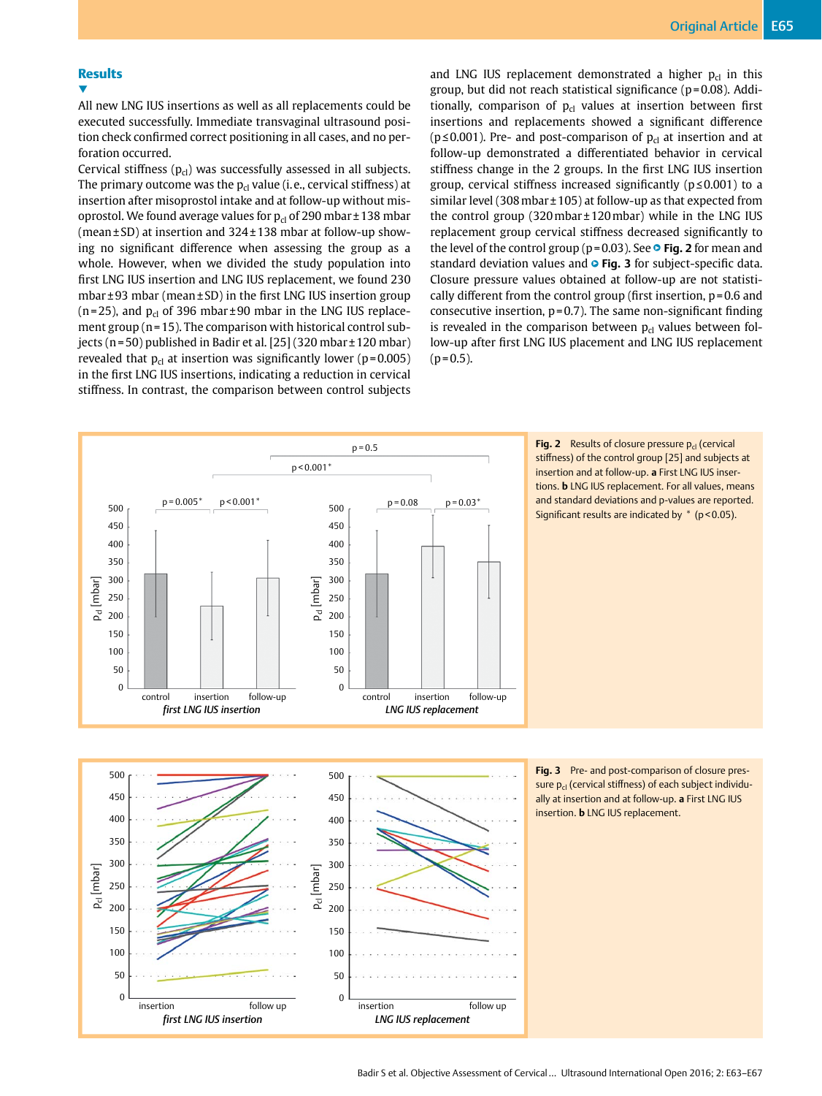## **Results**

▼ All new LNG IUS insertions as well as all replacements could be executed successfully. Immediate transvaginal ultrasound position check confirmed correct positioning in all cases, and no perforation occurred.

Cervical stiffness  $(p_{cl})$  was successfully assessed in all subjects. The primary outcome was the  $p_{cl}$  value (i.e., cervical stiffness) at insertion after misoprostol intake and at follow-up without misoprostol. We found average values for  $p_{cl}$  of 290 mbar ± 138 mbar (mean±SD) at insertion and 324±138 mbar at follow-up showing no significant difference when assessing the group as a whole. However, when we divided the study population into first LNG IUS insertion and LNG IUS replacement, we found 230 mbar±93 mbar (mean±SD) in the first LNG IUS insertion group (n=25), and  $p_{cl}$  of 396 mbar ±90 mbar in the LNG IUS replacement group (n=15). The comparison with historical control subjects (n=50) published in Badir et al. [25] (320 mbar±120 mbar) revealed that  $p_{cl}$  at insertion was significantly lower (p=0.005) in the first LNG IUS insertions, indicating a reduction in cervical stiffness. In contrast, the comparison between control subjects and LNG IUS replacement demonstrated a higher  $p_{cl}$  in this group, but did not reach statistical significance (p=0.08). Additionally, comparison of  $p_{cl}$  values at insertion between first insertions and replacements showed a significant difference ( $p \le 0.001$ ). Pre- and post-comparison of  $p_{cl}$  at insertion and at follow-up demonstrated a differentiated behavior in cervical stiffness change in the 2 groups. In the first LNG IUS insertion group, cervical stiffness increased significantly (p≤0.001) to a similar level (308mbar±105) at follow-up as that expected from the control group (320mbar±120mbar) while in the LNG IUS replacement group cervical stiffness decreased significantly to the level of the control group ( $p=0.03$ ). See  $\circ$  **Fig. 2** for mean and standard deviation values and  $\circ$  Fig. 3 for subject-specific data. Closure pressure values obtained at follow-up are not statistically different from the control group (first insertion, p=0.6 and consecutive insertion, p=0.7). The same non-significant finding is revealed in the comparison between  $p<sub>cl</sub>$  values between follow-up after first LNG IUS placement and LNG IUS replacement  $(p=0.5)$ .



Fig. 2 Results of closure pressure p<sub>cl</sub> (cervical stiffness) of the control group [25] and subjects at insertion and at follow-up. **a** First LNG IUS insertions. **b** LNG IUS replacement. For all values, means and standard deviations and p-values are reported. Significant results are indicated by  $*$  ( $p < 0.05$ ).



**Fig. 3** Pre- and post-comparison of closure pressure p<sub>d</sub> (cervical stiffness) of each subject individually at insertion and at follow-up. **a** First LNG IUS insertion. **b** LNG IUS replacement.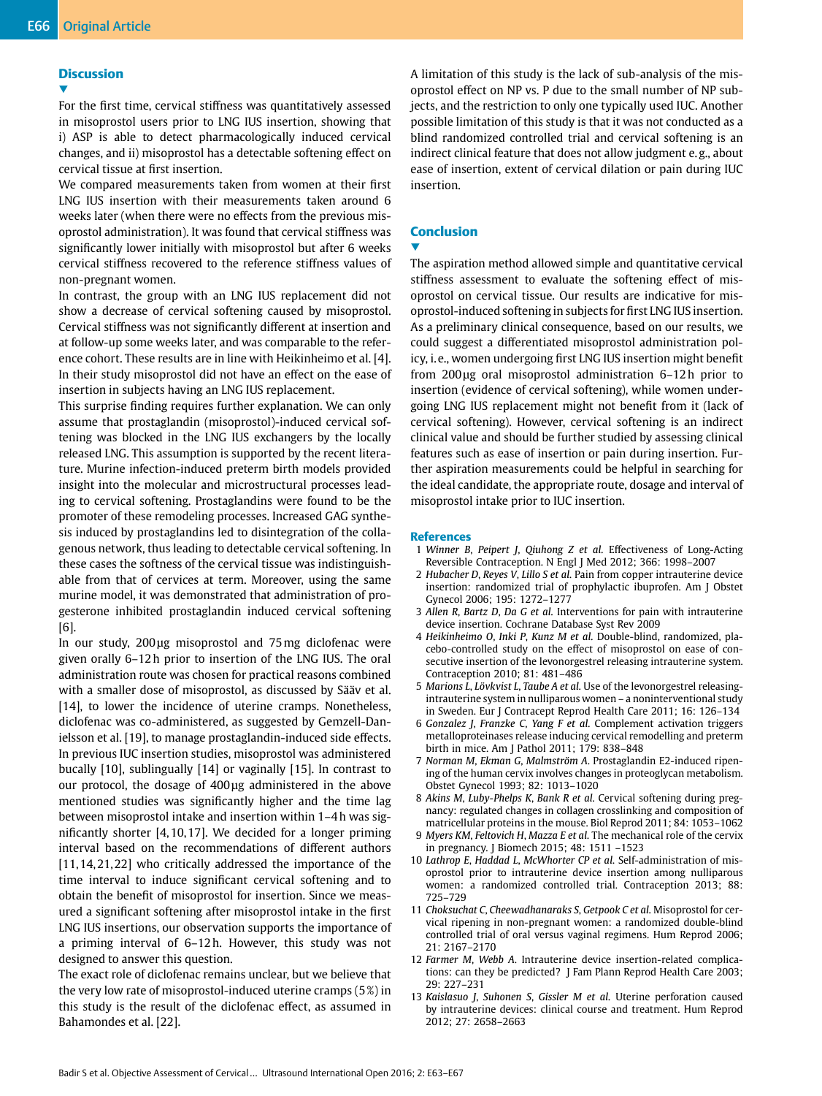#### **Discussion**

▼

For the first time, cervical stiffness was quantitatively assessed in misoprostol users prior to LNG IUS insertion, showing that i) ASP is able to detect pharmacologically induced cervical changes, and ii) misoprostol has a detectable softening effect on cervical tissue at first insertion.

We compared measurements taken from women at their first LNG IUS insertion with their measurements taken around 6 weeks later (when there were no effects from the previous misoprostol administration). It was found that cervical stiffness was significantly lower initially with misoprostol but after 6 weeks cervical stiffness recovered to the reference stiffness values of non-pregnant women.

In contrast, the group with an LNG IUS replacement did not show a decrease of cervical softening caused by misoprostol. Cervical stiffness was not significantly different at insertion and at follow-up some weeks later, and was comparable to the reference cohort. These results are in line with Heikinheimo et al. [4]. In their study misoprostol did not have an effect on the ease of insertion in subjects having an LNG IUS replacement.

This surprise finding requires further explanation. We can only assume that prostaglandin (misoprostol)-induced cervical softening was blocked in the LNG IUS exchangers by the locally released LNG. This assumption is supported by the recent literature. Murine infection-induced preterm birth models provided insight into the molecular and microstructural processes leading to cervical softening. Prostaglandins were found to be the promoter of these remodeling processes. Increased GAG synthesis induced by prostaglandins led to disintegration of the collagenous network, thus leading to detectable cervical softening. In these cases the softness of the cervical tissue was indistinguishable from that of cervices at term. Moreover, using the same murine model, it was demonstrated that administration of progesterone inhibited prostaglandin induced cervical softening [6].

In our study, 200μg misoprostol and 75mg diclofenac were given orally 6–12h prior to insertion of the LNG IUS. The oral administration route was chosen for practical reasons combined with a smaller dose of misoprostol, as discussed by Sääv et al. [14], to lower the incidence of uterine cramps. Nonetheless, diclofenac was co-administered, as suggested by Gemzell-Danielsson et al. [19], to manage prostaglandin-induced side effects. In previous IUC insertion studies, misoprostol was administered bucally [10], sublingually [14] or vaginally [15]. In contrast to our protocol, the dosage of 400μg administered in the above mentioned studies was significantly higher and the time lag between misoprostol intake and insertion within 1–4h was significantly shorter [4,10,17]. We decided for a longer priming interval based on the recommendations of different authors [11,14,21,22] who critically addressed the importance of the time interval to induce significant cervical softening and to obtain the benefit of misoprostol for insertion. Since we measured a significant softening after misoprostol intake in the first LNG IUS insertions, our observation supports the importance of a priming interval of 6–12h. However, this study was not designed to answer this question.

The exact role of diclofenac remains unclear, but we believe that the very low rate of misoprostol-induced uterine cramps (5%) in this study is the result of the diclofenac effect, as assumed in Bahamondes et al. [22].

A limitation of this study is the lack of sub-analysis of the misoprostol effect on NP vs. P due to the small number of NP subjects, and the restriction to only one typically used IUC. Another possible limitation of this study is that it was not conducted as a blind randomized controlled trial and cervical softening is an indirect clinical feature that does not allow judgment e.g., about ease of insertion, extent of cervical dilation or pain during IUC insertion.

### Conclusion

## ▼

The aspiration method allowed simple and quantitative cervical stiffness assessment to evaluate the softening effect of misoprostol on cervical tissue. Our results are indicative for misoprostol-induced softening in subjects for first LNG IUS insertion. As a preliminary clinical consequence, based on our results, we could suggest a differentiated misoprostol administration policy, i.e., women undergoing first LNG IUS insertion might benefit from 200μg oral misoprostol administration 6–12h prior to insertion (evidence of cervical softening), while women undergoing LNG IUS replacement might not benefit from it (lack of cervical softening). However, cervical softening is an indirect clinical value and should be further studied by assessing clinical features such as ease of insertion or pain during insertion. Further aspiration measurements could be helpful in searching for the ideal candidate, the appropriate route, dosage and interval of misoprostol intake prior to IUC insertion.

#### **References**

- 1 *Winner B*, *Peipert J*, *Qiuhong Z et al.* Effectiveness of Long-Acting Reversible Contraception. N Engl J Med 2012; 366: 1998–2007
- 2 *Hubacher D*, *Reyes V*, *Lillo S et al.* Pain from copper intrauterine device insertion: randomized trial of prophylactic ibuprofen. Am J Obstet Gynecol 2006; 195: 1272–1277
- 3 *Allen R*, *Bartz D*, *Da G et al.* Interventions for pain with intrauterine device insertion. Cochrane Database Syst Rev 2009
- 4 *Heikinheimo O*, *Inki P*, *Kunz M et al.* Double-blind, randomized, placebo-controlled study on the effect of misoprostol on ease of consecutive insertion of the levonorgestrel releasing intrauterine system. Contraception 2010; 81: 481–486
- 5 *Marions L*, *Lövkvist L*, *Taube A et al.* Use of the levonorgestrel releasingintrauterine system in nulliparous women – a noninterventional study in Sweden. Eur J Contracept Reprod Health Care 2011; 16: 126–134
- 6 *Gonzalez J*, *Franzke C*, *Yang F et al.* Complement activation triggers metalloproteinases release inducing cervical remodelling and preterm birth in mice. Am J Pathol 2011; 179: 838–848
- 7 *Norman M*, *Ekman G*, *Malmström A*. Prostaglandin E2-induced ripening of the human cervix involves changes in proteoglycan metabolism. Obstet Gynecol 1993; 82: 1013–1020
- 8 *Akins M*, *Luby-Phelps K*, *Bank R et al.* Cervical softening during pregnancy: regulated changes in collagen crosslinking and composition of matricellular proteins in the mouse. Biol Reprod 2011; 84: 1053–1062
- 9 *Myers KM*, *Feltovich H*, *Mazza E et al.* The mechanical role of the cervix in pregnancy. J Biomech 2015; 48: 1511 –1523
- 10 *Lathrop E*, *Haddad L*, *McWhorter CP et al.* Self-administration of misoprostol prior to intrauterine device insertion among nulliparous women: a randomized controlled trial. Contraception 2013; 88: 725–729
- 11 *Choksuchat C*, *Cheewadhanaraks S*, *Getpook C et al.* Misoprostol for cervical ripening in non-pregnant women: a randomized double-blind controlled trial of oral versus vaginal regimens. Hum Reprod 2006; 21: 2167–2170
- 12 *Farmer M*, *Webb A*. Intrauterine device insertion-related complications: can they be predicted? J Fam Plann Reprod Health Care 2003; 29: 227–231
- 13 *Kaislasuo J*, *Suhonen S*, *Gissler M et al.* Uterine perforation caused by intrauterine devices: clinical course and treatment. Hum Reprod 2012; 27: 2658–2663